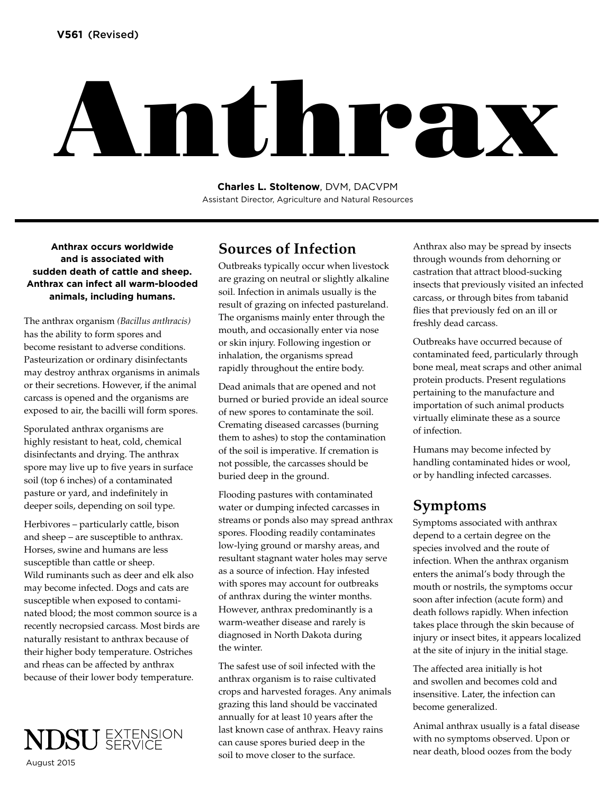# Anthrax

**Charles L. Stoltenow**, DVM, DACVPM Assistant Director, Agriculture and Natural Resources

**Anthrax occurs worldwide and is associated with sudden death of cattle and sheep. Anthrax can infect all warm-blooded animals, including humans.** 

The anthrax organism *(Bacillus anthracis)* has the ability to form spores and become resistant to adverse conditions. Pasteurization or ordinary disinfectants may destroy anthrax organisms in animals or their secretions. However, if the animal carcass is opened and the organisms are exposed to air, the bacilli will form spores.

Sporulated anthrax organisms are highly resistant to heat, cold, chemical disinfectants and drying. The anthrax spore may live up to five years in surface soil (top 6 inches) of a contaminated pasture or yard, and indefinitely in deeper soils, depending on soil type.

Herbivores – particularly cattle, bison and sheep – are susceptible to anthrax. Horses, swine and humans are less susceptible than cattle or sheep. Wild ruminants such as deer and elk also may become infected. Dogs and cats are susceptible when exposed to contaminated blood; the most common source is a recently necropsied carcass. Most birds are naturally resistant to anthrax because of their higher body temperature. Ostriches and rheas can be affected by anthrax because of their lower body temperature.



### **Sources of Infection**

Outbreaks typically occur when livestock are grazing on neutral or slightly alkaline soil. Infection in animals usually is the result of grazing on infected pastureland. The organisms mainly enter through the mouth, and occasionally enter via nose or skin injury. Following ingestion or inhalation, the organisms spread rapidly throughout the entire body.

Dead animals that are opened and not burned or buried provide an ideal source of new spores to contaminate the soil. Cremating diseased carcasses (burning them to ashes) to stop the contamination of the soil is imperative. If cremation is not possible, the carcasses should be buried deep in the ground.

Flooding pastures with contaminated water or dumping infected carcasses in streams or ponds also may spread anthrax spores. Flooding readily contaminates low-lying ground or marshy areas, and resultant stagnant water holes may serve as a source of infection. Hay infested with spores may account for outbreaks of anthrax during the winter months. However, anthrax predominantly is a warm-weather disease and rarely is diagnosed in North Dakota during the winter.

The safest use of soil infected with the anthrax organism is to raise cultivated crops and harvested forages. Any animals grazing this land should be vaccinated annually for at least 10 years after the last known case of anthrax. Heavy rains can cause spores buried deep in the soil to move closer to the surface.

Anthrax also may be spread by insects through wounds from dehorning or castration that attract blood-sucking insects that previously visited an infected carcass, or through bites from tabanid flies that previously fed on an ill or freshly dead carcass.

Outbreaks have occurred because of contaminated feed, particularly through bone meal, meat scraps and other animal protein products. Present regulations pertaining to the manufacture and importation of such animal products virtually eliminate these as a source of infection.

Humans may become infected by handling contaminated hides or wool, or by handling infected carcasses.

## **Symptoms**

Symptoms associated with anthrax depend to a certain degree on the species involved and the route of infection. When the anthrax organism enters the animal's body through the mouth or nostrils, the symptoms occur soon after infection (acute form) and death follows rapidly. When infection takes place through the skin because of injury or insect bites, it appears localized at the site of injury in the initial stage.

The affected area initially is hot and swollen and becomes cold and insensitive. Later, the infection can become generalized.

Animal anthrax usually is a fatal disease with no symptoms observed. Upon or near death, blood oozes from the body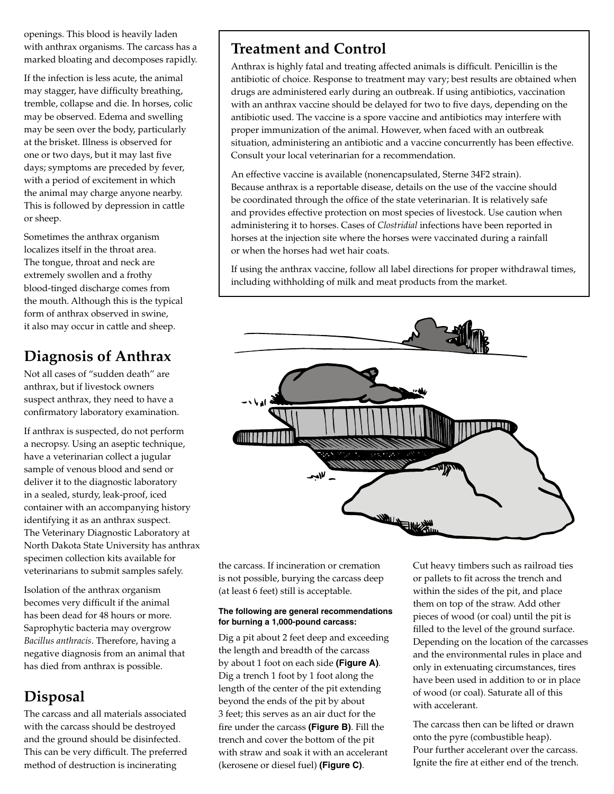openings. This blood is heavily laden with anthrax organisms. The carcass has a marked bloating and decomposes rapidly.

If the infection is less acute, the animal may stagger, have difficulty breathing, tremble, collapse and die. In horses, colic may be observed. Edema and swelling may be seen over the body, particularly at the brisket. Illness is observed for one or two days, but it may last five days; symptoms are preceded by fever, with a period of excitement in which the animal may charge anyone nearby. This is followed by depression in cattle or sheep.

Sometimes the anthrax organism localizes itself in the throat area. The tongue, throat and neck are extremely swollen and a frothy blood-tinged discharge comes from the mouth. Although this is the typical form of anthrax observed in swine, it also may occur in cattle and sheep.

# **Diagnosis of Anthrax**

Not all cases of "sudden death" are anthrax, but if livestock owners suspect anthrax, they need to have a confirmatory laboratory examination.

If anthrax is suspected, do not perform a necropsy. Using an aseptic technique, have a veterinarian collect a jugular sample of venous blood and send or deliver it to the diagnostic laboratory in a sealed, sturdy, leak-proof, iced container with an accompanying history identifying it as an anthrax suspect. The Veterinary Diagnostic Laboratory at North Dakota State University has anthrax specimen collection kits available for veterinarians to submit samples safely.

Isolation of the anthrax organism becomes very difficult if the animal has been dead for 48 hours or more. Saprophytic bacteria may overgrow *Bacillus anthracis*. Therefore, having a negative diagnosis from an animal that has died from anthrax is possible.

# **Disposal**

The carcass and all materials associated with the carcass should be destroyed and the ground should be disinfected. This can be very difficult. The preferred method of destruction is incinerating

# **Treatment and Control**

Anthrax is highly fatal and treating affected animals is difficult. Penicillin is the antibiotic of choice. Response to treatment may vary; best results are obtained when drugs are administered early during an outbreak. If using antibiotics, vaccination with an anthrax vaccine should be delayed for two to five days, depending on the antibiotic used. The vaccine is a spore vaccine and antibiotics may interfere with proper immunization of the animal. However, when faced with an outbreak situation, administering an antibiotic and a vaccine concurrently has been effective. Consult your local veterinarian for a recommendation.

An effective vaccine is available (nonencapsulated, Sterne 34F2 strain). Because anthrax is a reportable disease, details on the use of the vaccine should be coordinated through the office of the state veterinarian. It is relatively safe and provides effective protection on most species of livestock. Use caution when administering it to horses. Cases of *Clostridial* infections have been reported in horses at the injection site where the horses were vaccinated during a rainfall or when the horses had wet hair coats.

If using the anthrax vaccine, follow all label directions for proper withdrawal times, including withholding of milk and meat products from the market.



the carcass. If incineration or cremation is not possible, burying the carcass deep (at least 6 feet) still is acceptable.

#### **The following are general recommendations for burning a 1,000-pound carcass:**

Dig a pit about 2 feet deep and exceeding the length and breadth of the carcass by about 1 foot on each side **(Figure A)**. Dig a trench 1 foot by 1 foot along the length of the center of the pit extending beyond the ends of the pit by about 3 feet; this serves as an air duct for the fire under the carcass **(Figure B)**. Fill the trench and cover the bottom of the pit with straw and soak it with an accelerant (kerosene or diesel fuel) **(Figure C)**.

Cut heavy timbers such as railroad ties or pallets to fit across the trench and within the sides of the pit, and place them on top of the straw. Add other pieces of wood (or coal) until the pit is filled to the level of the ground surface. Depending on the location of the carcasses and the environmental rules in place and only in extenuating circumstances, tires have been used in addition to or in place of wood (or coal). Saturate all of this with accelerant.

The carcass then can be lifted or drawn onto the pyre (combustible heap). Pour further accelerant over the carcass. Ignite the fire at either end of the trench.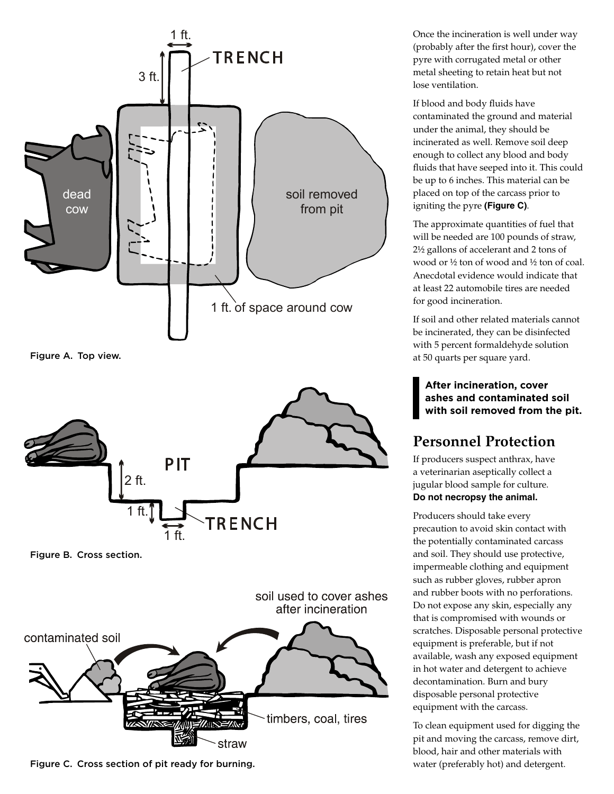

Figure A. Top view.



Figure B. Cross section.

soil used to cover ashes after incineration contaminated soil timbers, coal, tires straw

Figure C. Cross section of pit ready for burning.

Once the incineration is well under way (probably after the first hour), cover the pyre with corrugated metal or other metal sheeting to retain heat but not lose ventilation.

If blood and body fluids have contaminated the ground and material under the animal, they should be incinerated as well. Remove soil deep enough to collect any blood and body fluids that have seeped into it. This could be up to 6 inches. This material can be placed on top of the carcass prior to igniting the pyre **(Figure C)**.

The approximate quantities of fuel that will be needed are 100 pounds of straw, 2½ gallons of accelerant and 2 tons of wood or ½ ton of wood and ½ ton of coal. Anecdotal evidence would indicate that at least 22 automobile tires are needed for good incineration.

If soil and other related materials cannot be incinerated, they can be disinfected with 5 percent formaldehyde solution at 50 quarts per square yard.

**After incineration, cover ashes and contaminated soil with soil removed from the pit.**

## **Personnel Protection**

If producers suspect anthrax, have a veterinarian aseptically collect a jugular blood sample for culture. **Do not necropsy the animal.** 

Producers should take every precaution to avoid skin contact with the potentially contaminated carcass and soil. They should use protective, impermeable clothing and equipment such as rubber gloves, rubber apron and rubber boots with no perforations. Do not expose any skin, especially any that is compromised with wounds or scratches. Disposable personal protective equipment is preferable, but if not available, wash any exposed equipment in hot water and detergent to achieve decontamination. Burn and bury disposable personal protective equipment with the carcass.

To clean equipment used for digging the pit and moving the carcass, remove dirt, blood, hair and other materials with water (preferably hot) and detergent.